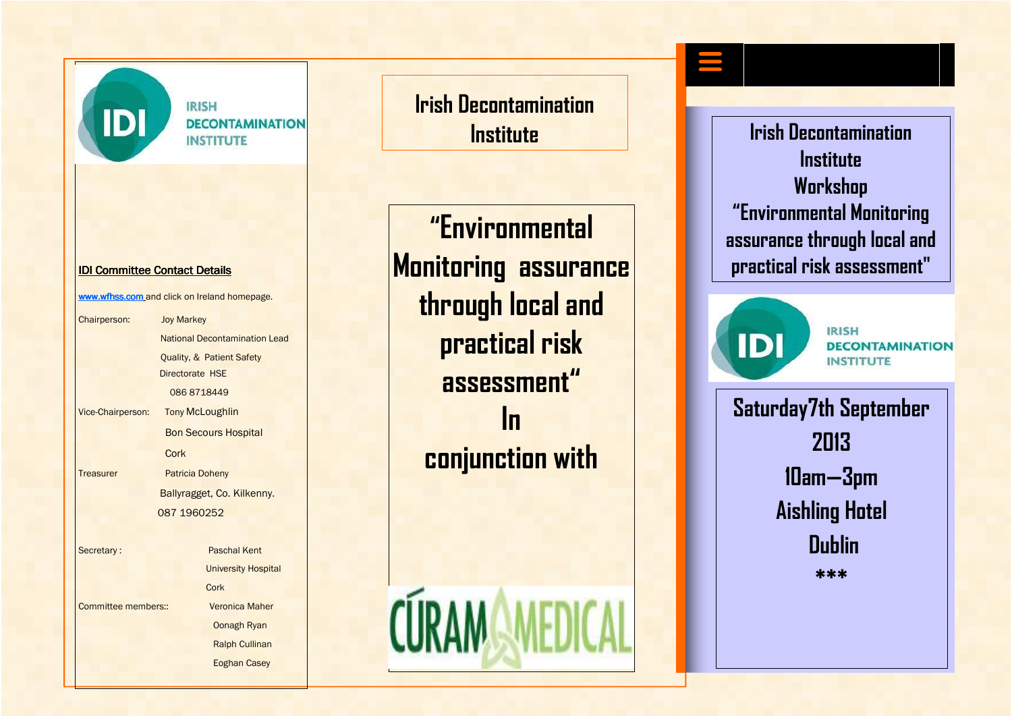

**IRISH DECONTAMINATION INSTITUTE** 

#### IDI Committee Contact Details

www.wfhss.com and click on Ireland homepage.

Chairperson: Joy Markey National Decontamination Lead Quality, & Patient Safety Directorate HSE 086 8718449 Vice-Chairperson: **Tony McLoughlin** Bon Secours Hospital Cork Treasurer Patricia Doheny Ballyragget, Co. Kilkenny. 087 1960252 Secretary : Paschal Kent University Hospital **Cork** Committee members:: Veronica Maher Oonagh Ryan Ralph Cullinan

Eoghan Casey

**Irish Decontamination Institute** 

**"Environmental k Monitoring assurance and a** practical risk assessment" **through local and practical risk assessment" In conjunction with** 

CÙRAM

**Irish Decontamination Institute Workshop "Environmental Monitoring assurance through local and** 



**IRISH DECONTAMINATION INSTITUTE** 

**Saturday7th September 2013 10am—3pm Aishling Hotel Dublin \*\*\***